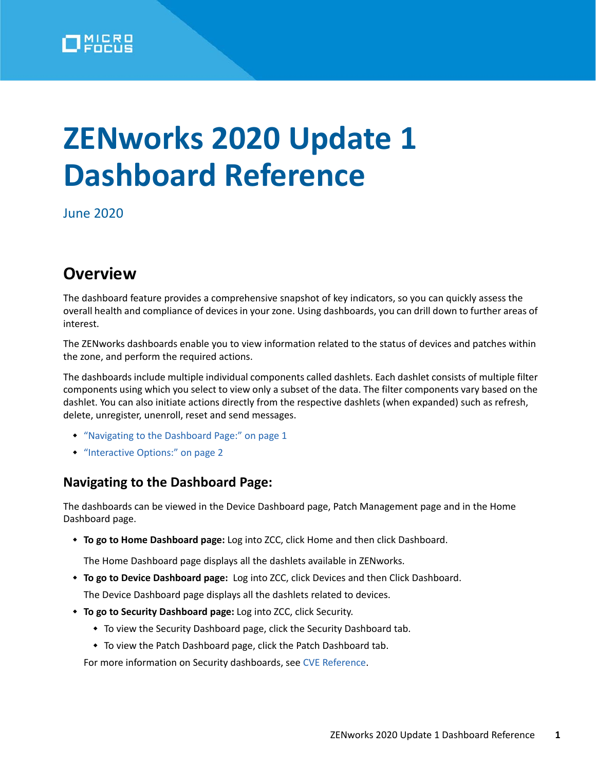

# **ZENworks 2020 Update 1 Dashboard Reference**

June 2020

## **Overview**

The dashboard feature provides a comprehensive snapshot of key indicators, so you can quickly assess the overall health and compliance of devices in your zone. Using dashboards, you can drill down to further areas of interest.

The ZENworks dashboards enable you to view information related to the status of devices and patches within the zone, and perform the required actions.

The dashboards include multiple individual components called dashlets. Each dashlet consists of multiple filter components using which you select to view only a subset of the data. The filter components vary based on the dashlet. You can also initiate actions directly from the respective dashlets (when expanded) such as refresh, delete, unregister, unenroll, reset and send messages.

- ["Navigating to the Dashboard Page:" on page 1](#page-0-0)
- ["Interactive Options:" on page 2](#page-1-0)

### <span id="page-0-0"></span>**Navigating to the Dashboard Page:**

The dashboards can be viewed in the Device Dashboard page, Patch Management page and in the Home Dashboard page.

**To go to Home Dashboard page:** Log into ZCC, click Home and then click Dashboard.

The Home Dashboard page displays all the dashlets available in ZENworks.

**To go to Device Dashboard page:** Log into ZCC, click Devices and then Click Dashboard.

The Device Dashboard page displays all the dashlets related to devices.

- **To go to Security Dashboard page:** Log into ZCC, click Security.
	- To view the Security Dashboard page, click the Security Dashboard tab.
	- To view the Patch Dashboard page, click the Patch Dashboard tab.

For more information on Security dashboards, see [CVE Reference](https://www.novell.com/documentation/zenworks-2020/zen_cve_reference/data/zen_cve_reference.html).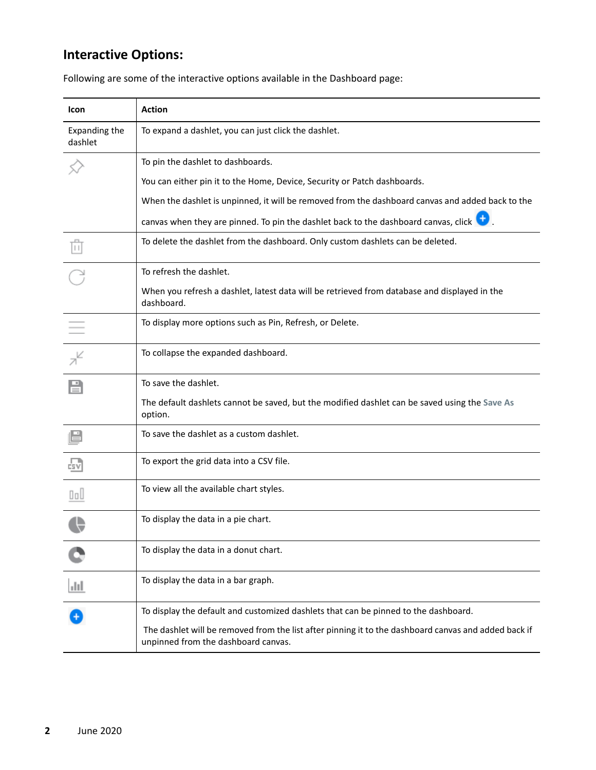### <span id="page-1-0"></span>**Interactive Options:**

| <b>Icon</b>              | <b>Action</b>                                                                                                                               |
|--------------------------|---------------------------------------------------------------------------------------------------------------------------------------------|
| Expanding the<br>dashlet | To expand a dashlet, you can just click the dashlet.                                                                                        |
|                          | To pin the dashlet to dashboards.                                                                                                           |
|                          | You can either pin it to the Home, Device, Security or Patch dashboards.                                                                    |
|                          | When the dashlet is unpinned, it will be removed from the dashboard canvas and added back to the                                            |
|                          | canvas when they are pinned. To pin the dashlet back to the dashboard canvas, click $\bigoplus$ .                                           |
|                          | To delete the dashlet from the dashboard. Only custom dashlets can be deleted.                                                              |
|                          | To refresh the dashlet.                                                                                                                     |
|                          | When you refresh a dashlet, latest data will be retrieved from database and displayed in the<br>dashboard.                                  |
|                          | To display more options such as Pin, Refresh, or Delete.                                                                                    |
|                          | To collapse the expanded dashboard.                                                                                                         |
|                          | To save the dashlet.                                                                                                                        |
|                          | The default dashlets cannot be saved, but the modified dashlet can be saved using the Save As<br>option.                                    |
|                          | To save the dashlet as a custom dashlet.                                                                                                    |
|                          | To export the grid data into a CSV file.                                                                                                    |
| OoU                      | To view all the available chart styles.                                                                                                     |
|                          | To display the data in a pie chart.                                                                                                         |
|                          | To display the data in a donut chart.                                                                                                       |
| лH                       | To display the data in a bar graph.                                                                                                         |
|                          | To display the default and customized dashlets that can be pinned to the dashboard.                                                         |
|                          | The dashlet will be removed from the list after pinning it to the dashboard canvas and added back if<br>unpinned from the dashboard canvas. |

Following are some of the interactive options available in the Dashboard page: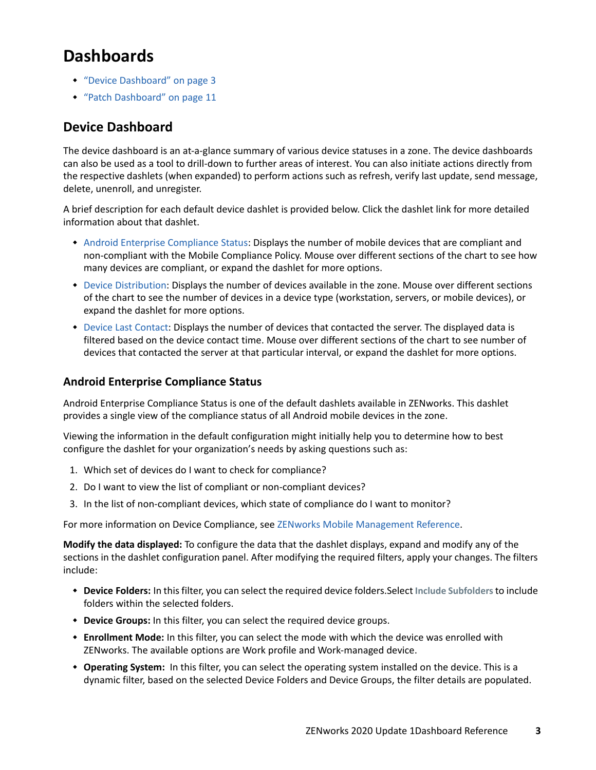# **Dashboards**

- ["Device Dashboard" on page 3](#page-2-1)
- ["Patch Dashboard" on page 11](#page-10-0)

### <span id="page-2-1"></span>**Device Dashboard**

The device dashboard is an at-a-glance summary of various device statuses in a zone. The device dashboards can also be used as a tool to drill-down to further areas of interest. You can also initiate actions directly from the respective dashlets (when expanded) to perform actions such as refresh, verify last update, send message, delete, unenroll, and unregister.

A brief description for each default device dashlet is provided below. Click the dashlet link for more detailed information about that dashlet.

- [Android Enterprise Compliance Status:](#page-2-0) Displays the number of mobile devices that are compliant and non-compliant with the Mobile Compliance Policy. Mouse over different sections of the chart to see how many devices are compliant, or expand the dashlet for more options.
- [Device Distribution](#page-4-0): Displays the number of devices available in the zone. Mouse over different sections of the chart to see the number of devices in a device type (workstation, servers, or mobile devices), or expand the dashlet for more options.
- [Device Last Contact:](#page-6-0) Displays the number of devices that contacted the server. The displayed data is filtered based on the device contact time. Mouse over different sections of the chart to see number of devices that contacted the server at that particular interval, or expand the dashlet for more options.

#### <span id="page-2-0"></span>**Android Enterprise Compliance Status**

Android Enterprise Compliance Status is one of the default dashlets available in ZENworks. This dashlet provides a single view of the compliance status of all Android mobile devices in the zone.

Viewing the information in the default configuration might initially help you to determine how to best configure the dashlet for your organization's needs by asking questions such as:

- 1. Which set of devices do I want to check for compliance?
- 2. Do I want to view the list of compliant or non-compliant devices?
- 3. In the list of non-compliant devices, which state of compliance do I want to monitor?

For more information on Device Compliance, see [ZENworks Mobile Management Reference.](https://www.novell.com/documentation/zenworks-2020/pdfdoc/zen_mobile/zen_mobile.pdf#bookinfo)

**Modify the data displayed:** To configure the data that the dashlet displays, expand and modify any of the sections in the dashlet configuration panel. After modifying the required filters, apply your changes. The filters include:

- **Device Folders:** In this filter, you can select the required device folders.Select **Include Subfolders** to include folders within the selected folders.
- **Device Groups:** In this filter, you can select the required device groups.
- **Enrollment Mode:** In this filter, you can select the mode with which the device was enrolled with ZENworks. The available options are Work profile and Work-managed device.
- **Operating System:** In this filter, you can select the operating system installed on the device. This is a dynamic filter, based on the selected Device Folders and Device Groups, the filter details are populated.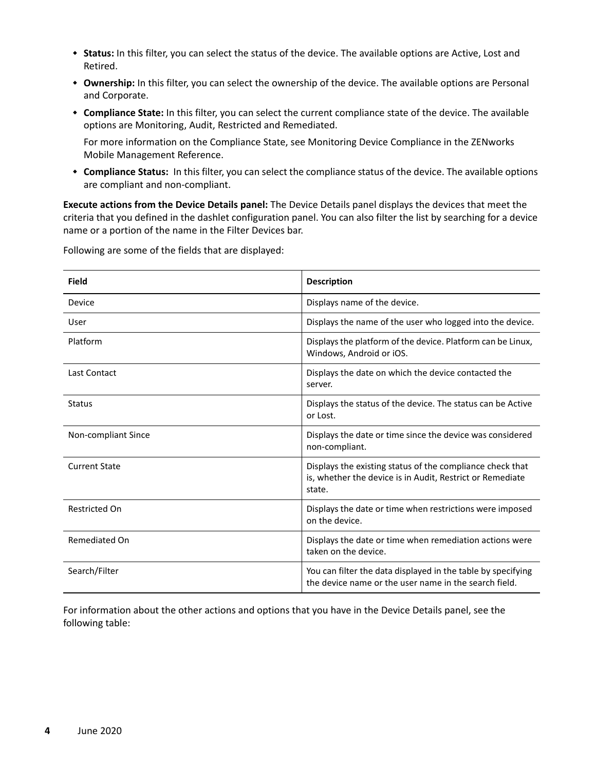- **Status:** In this filter, you can select the status of the device. The available options are Active, Lost and Retired.
- **Ownership:** In this filter, you can select the ownership of the device. The available options are Personal and Corporate.
- **Compliance State:** In this filter, you can select the current compliance state of the device. The available options are Monitoring, Audit, Restricted and Remediated.

For more information on the Compliance State, see Monitoring Device Compliance in the ZENworks Mobile Management Reference.

 **Compliance Status:** In this filter, you can select the compliance status of the device. The available options are compliant and non-compliant.

**Execute actions from the Device Details panel:** The Device Details panel displays the devices that meet the criteria that you defined in the dashlet configuration panel. You can also filter the list by searching for a device name or a portion of the name in the Filter Devices bar.

| <b>Field</b>         | <b>Description</b>                                                                                                               |
|----------------------|----------------------------------------------------------------------------------------------------------------------------------|
| Device               | Displays name of the device.                                                                                                     |
| User                 | Displays the name of the user who logged into the device.                                                                        |
| Platform             | Displays the platform of the device. Platform can be Linux,<br>Windows, Android or iOS.                                          |
| Last Contact         | Displays the date on which the device contacted the<br>server.                                                                   |
| <b>Status</b>        | Displays the status of the device. The status can be Active<br>or Lost.                                                          |
| Non-compliant Since  | Displays the date or time since the device was considered<br>non-compliant.                                                      |
| <b>Current State</b> | Displays the existing status of the compliance check that<br>is, whether the device is in Audit, Restrict or Remediate<br>state. |
| <b>Restricted On</b> | Displays the date or time when restrictions were imposed<br>on the device.                                                       |
| Remediated On        | Displays the date or time when remediation actions were<br>taken on the device.                                                  |
| Search/Filter        | You can filter the data displayed in the table by specifying<br>the device name or the user name in the search field.            |

Following are some of the fields that are displayed:

For information about the other actions and options that you have in the Device Details panel, see the following table: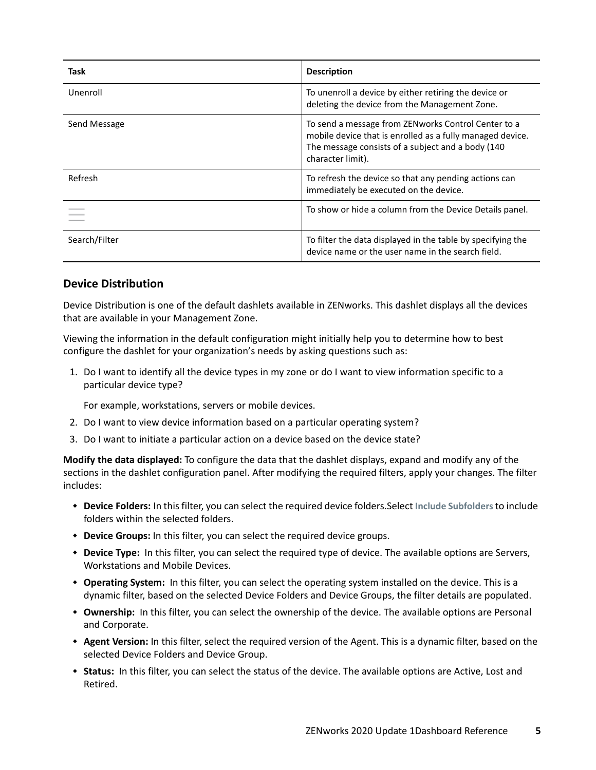| Task          | <b>Description</b>                                                                                                                                                                          |
|---------------|---------------------------------------------------------------------------------------------------------------------------------------------------------------------------------------------|
| Unenroll      | To unenroll a device by either retiring the device or<br>deleting the device from the Management Zone.                                                                                      |
| Send Message  | To send a message from ZENworks Control Center to a<br>mobile device that is enrolled as a fully managed device.<br>The message consists of a subject and a body (140)<br>character limit). |
| Refresh       | To refresh the device so that any pending actions can<br>immediately be executed on the device.                                                                                             |
|               | To show or hide a column from the Device Details panel.                                                                                                                                     |
| Search/Filter | To filter the data displayed in the table by specifying the<br>device name or the user name in the search field.                                                                            |

#### <span id="page-4-0"></span>**Device Distribution**

Device Distribution is one of the default dashlets available in ZENworks. This dashlet displays all the devices that are available in your Management Zone.

Viewing the information in the default configuration might initially help you to determine how to best configure the dashlet for your organization's needs by asking questions such as:

1. Do I want to identify all the device types in my zone or do I want to view information specific to a particular device type?

For example, workstations, servers or mobile devices.

- 2. Do I want to view device information based on a particular operating system?
- 3. Do I want to initiate a particular action on a device based on the device state?

**Modify the data displayed:** To configure the data that the dashlet displays, expand and modify any of the sections in the dashlet configuration panel. After modifying the required filters, apply your changes. The filter includes:

- **Device Folders:** In this filter, you can select the required device folders.Select **Include Subfolders** to include folders within the selected folders.
- **Device Groups:** In this filter, you can select the required device groups.
- **Device Type:** In this filter, you can select the required type of device. The available options are Servers, Workstations and Mobile Devices.
- **Operating System:** In this filter, you can select the operating system installed on the device. This is a dynamic filter, based on the selected Device Folders and Device Groups, the filter details are populated.
- **Ownership:** In this filter, you can select the ownership of the device. The available options are Personal and Corporate.
- **Agent Version:** In this filter, select the required version of the Agent. This is a dynamic filter, based on the selected Device Folders and Device Group.
- **Status:** In this filter, you can select the status of the device. The available options are Active, Lost and Retired.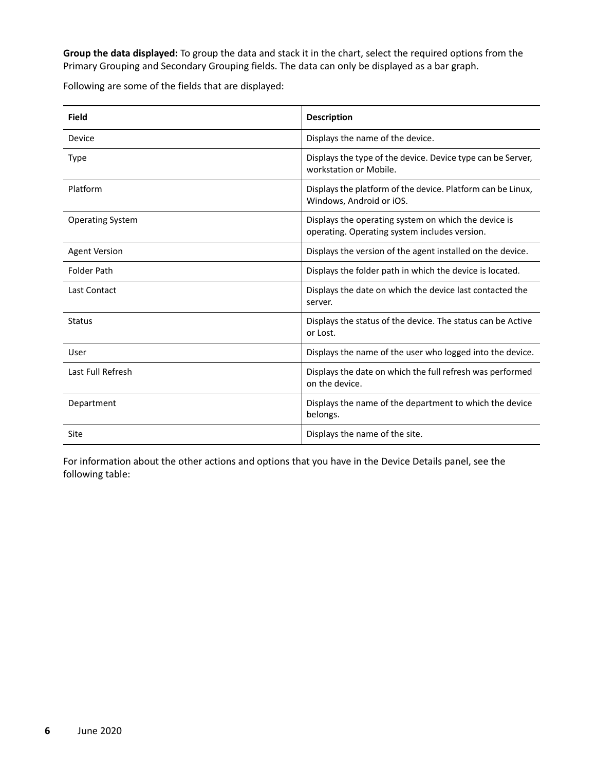**Group the data displayed:** To group the data and stack it in the chart, select the required options from the Primary Grouping and Secondary Grouping fields. The data can only be displayed as a bar graph.

Following are some of the fields that are displayed:

| <b>Field</b>            | <b>Description</b>                                                                                    |
|-------------------------|-------------------------------------------------------------------------------------------------------|
| Device                  | Displays the name of the device.                                                                      |
| Type                    | Displays the type of the device. Device type can be Server,<br>workstation or Mobile.                 |
| Platform                | Displays the platform of the device. Platform can be Linux,<br>Windows, Android or iOS.               |
| <b>Operating System</b> | Displays the operating system on which the device is<br>operating. Operating system includes version. |
| <b>Agent Version</b>    | Displays the version of the agent installed on the device.                                            |
| <b>Folder Path</b>      | Displays the folder path in which the device is located.                                              |
| Last Contact            | Displays the date on which the device last contacted the<br>server.                                   |
| <b>Status</b>           | Displays the status of the device. The status can be Active<br>or Lost.                               |
| User                    | Displays the name of the user who logged into the device.                                             |
| Last Full Refresh       | Displays the date on which the full refresh was performed<br>on the device.                           |
| Department              | Displays the name of the department to which the device<br>belongs.                                   |
| Site                    | Displays the name of the site.                                                                        |

For information about the other actions and options that you have in the Device Details panel, see the following table: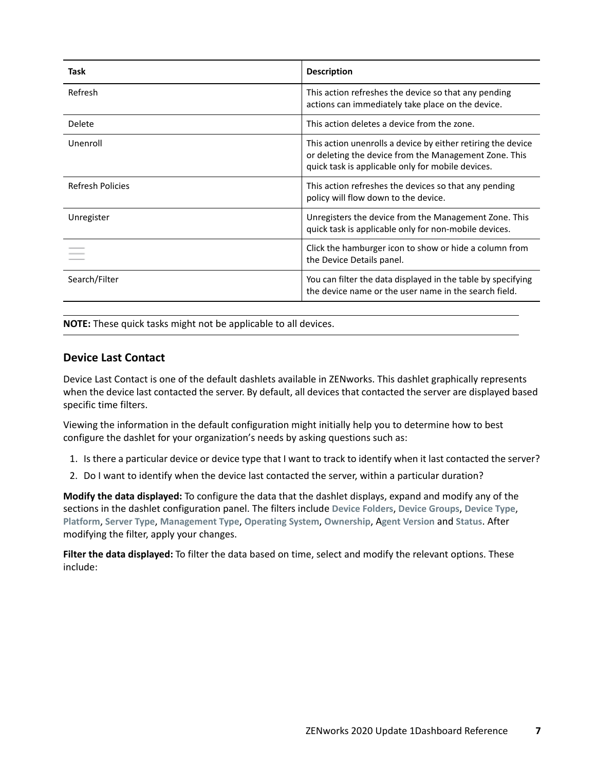| Task                    | <b>Description</b>                                                                                                                                                         |
|-------------------------|----------------------------------------------------------------------------------------------------------------------------------------------------------------------------|
| Refresh                 | This action refreshes the device so that any pending<br>actions can immediately take place on the device.                                                                  |
| Delete                  | This action deletes a device from the zone.                                                                                                                                |
| Unenroll                | This action unenrolls a device by either retiring the device<br>or deleting the device from the Management Zone. This<br>quick task is applicable only for mobile devices. |
| <b>Refresh Policies</b> | This action refreshes the devices so that any pending<br>policy will flow down to the device.                                                                              |
| Unregister              | Unregisters the device from the Management Zone. This<br>quick task is applicable only for non-mobile devices.                                                             |
|                         | Click the hamburger icon to show or hide a column from<br>the Device Details panel.                                                                                        |
| Search/Filter           | You can filter the data displayed in the table by specifying<br>the device name or the user name in the search field.                                                      |

**NOTE:** These quick tasks might not be applicable to all devices.

#### <span id="page-6-0"></span>**Device Last Contact**

Device Last Contact is one of the default dashlets available in ZENworks. This dashlet graphically represents when the device last contacted the server. By default, all devices that contacted the server are displayed based specific time filters.

Viewing the information in the default configuration might initially help you to determine how to best configure the dashlet for your organization's needs by asking questions such as:

- 1. Is there a particular device or device type that I want to track to identify when it last contacted the server?
- 2. Do I want to identify when the device last contacted the server, within a particular duration?

**Modify the data displayed:** To configure the data that the dashlet displays, expand and modify any of the sections in the dashlet configuration panel. The filters include **Device Folders**, **Device Groups**, **Device Type**, **Platform**, **Server Type**, **Management Type**, **Operating System**, **Ownership**, A**gent Version** and **Status**. After modifying the filter, apply your changes.

**Filter the data displayed:** To filter the data based on time, select and modify the relevant options. These include: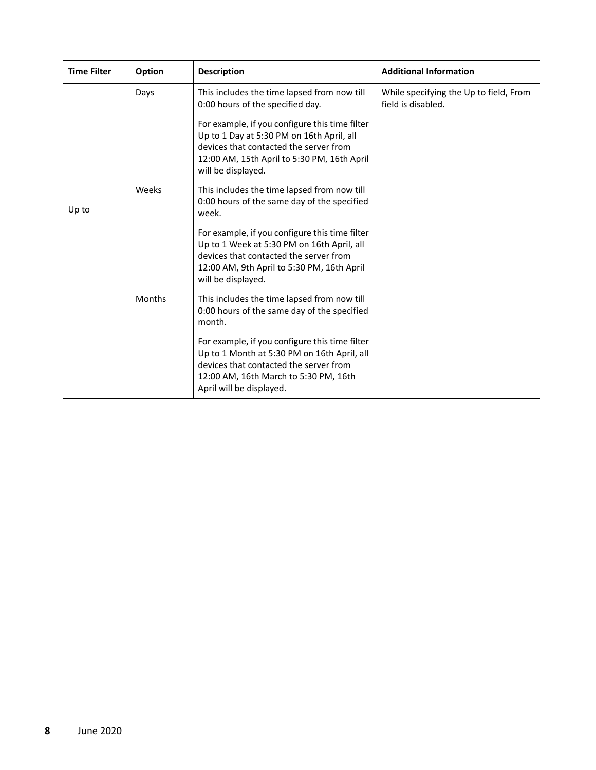| <b>Time Filter</b> | Option | <b>Description</b>                                                                                                                                                                                                                                                                            | <b>Additional Information</b>                                |
|--------------------|--------|-----------------------------------------------------------------------------------------------------------------------------------------------------------------------------------------------------------------------------------------------------------------------------------------------|--------------------------------------------------------------|
|                    | Days   | This includes the time lapsed from now till<br>0:00 hours of the specified day.<br>For example, if you configure this time filter<br>Up to 1 Day at 5:30 PM on 16th April, all<br>devices that contacted the server from<br>12:00 AM, 15th April to 5:30 PM, 16th April<br>will be displayed. | While specifying the Up to field, From<br>field is disabled. |
| Up to              | Weeks  | This includes the time lapsed from now till<br>0:00 hours of the same day of the specified<br>week.                                                                                                                                                                                           |                                                              |
|                    |        | For example, if you configure this time filter<br>Up to 1 Week at 5:30 PM on 16th April, all<br>devices that contacted the server from<br>12:00 AM, 9th April to 5:30 PM, 16th April<br>will be displayed.                                                                                    |                                                              |
|                    | Months | This includes the time lapsed from now till<br>0:00 hours of the same day of the specified<br>month.                                                                                                                                                                                          |                                                              |
|                    |        | For example, if you configure this time filter<br>Up to 1 Month at 5:30 PM on 16th April, all<br>devices that contacted the server from<br>12:00 AM, 16th March to 5:30 PM, 16th<br>April will be displayed.                                                                                  |                                                              |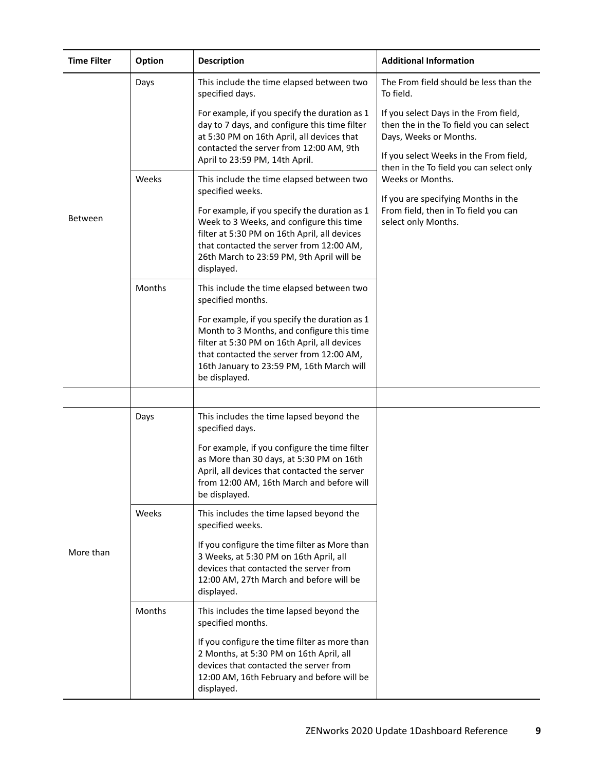| <b>Time Filter</b> | <b>Option</b> | <b>Description</b>                                                                                                                                                                                                                                    | <b>Additional Information</b>                                                                                                                                                                    |
|--------------------|---------------|-------------------------------------------------------------------------------------------------------------------------------------------------------------------------------------------------------------------------------------------------------|--------------------------------------------------------------------------------------------------------------------------------------------------------------------------------------------------|
|                    | Days          | This include the time elapsed between two<br>specified days.                                                                                                                                                                                          | The From field should be less than the<br>To field.                                                                                                                                              |
|                    |               | For example, if you specify the duration as 1<br>day to 7 days, and configure this time filter<br>at 5:30 PM on 16th April, all devices that<br>contacted the server from 12:00 AM, 9th<br>April to 23:59 PM, 14th April.                             | If you select Days in the From field,<br>then the in the To field you can select<br>Days, Weeks or Months.<br>If you select Weeks in the From field,<br>then in the To field you can select only |
|                    | Weeks         | This include the time elapsed between two<br>specified weeks.                                                                                                                                                                                         | Weeks or Months.<br>If you are specifying Months in the<br>From field, then in To field you can<br>select only Months.                                                                           |
| <b>Between</b>     |               | For example, if you specify the duration as 1<br>Week to 3 Weeks, and configure this time<br>filter at 5:30 PM on 16th April, all devices<br>that contacted the server from 12:00 AM,<br>26th March to 23:59 PM, 9th April will be<br>displayed.      |                                                                                                                                                                                                  |
|                    | Months        | This include the time elapsed between two<br>specified months.                                                                                                                                                                                        |                                                                                                                                                                                                  |
|                    |               | For example, if you specify the duration as 1<br>Month to 3 Months, and configure this time<br>filter at 5:30 PM on 16th April, all devices<br>that contacted the server from 12:00 AM,<br>16th January to 23:59 PM, 16th March will<br>be displayed. |                                                                                                                                                                                                  |
|                    |               |                                                                                                                                                                                                                                                       |                                                                                                                                                                                                  |
| More than          | Days          | This includes the time lapsed beyond the<br>specified days.                                                                                                                                                                                           |                                                                                                                                                                                                  |
|                    |               | For example, if you configure the time filter<br>as More than 30 days, at 5:30 PM on 16th<br>April, all devices that contacted the server<br>from 12:00 AM, 16th March and before will<br>be displayed.                                               |                                                                                                                                                                                                  |
|                    | Weeks         | This includes the time lapsed beyond the<br>specified weeks.                                                                                                                                                                                          |                                                                                                                                                                                                  |
|                    |               | If you configure the time filter as More than<br>3 Weeks, at 5:30 PM on 16th April, all<br>devices that contacted the server from<br>12:00 AM, 27th March and before will be<br>displayed.                                                            |                                                                                                                                                                                                  |
|                    | Months        | This includes the time lapsed beyond the<br>specified months.                                                                                                                                                                                         |                                                                                                                                                                                                  |
|                    |               | If you configure the time filter as more than<br>2 Months, at 5:30 PM on 16th April, all<br>devices that contacted the server from<br>12:00 AM, 16th February and before will be<br>displayed.                                                        |                                                                                                                                                                                                  |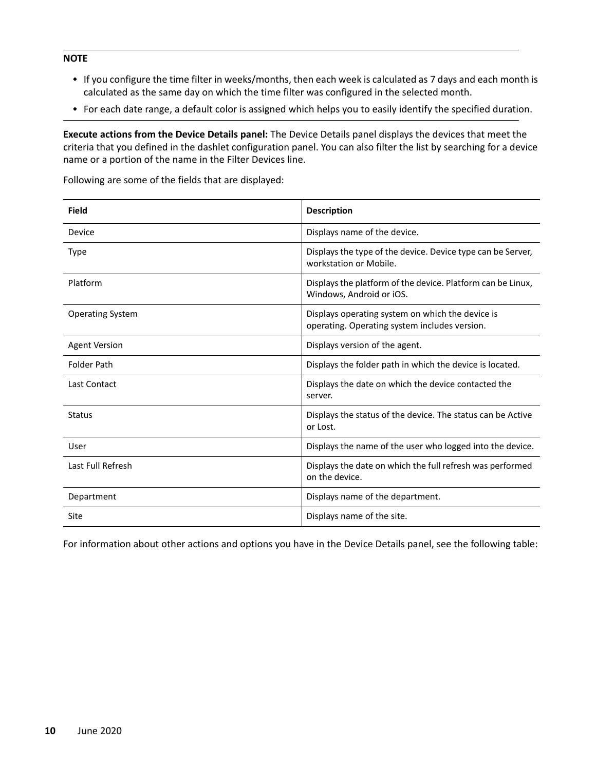#### **NOTE**

- If you configure the time filter in weeks/months, then each week is calculated as 7 days and each month is calculated as the same day on which the time filter was configured in the selected month.
- For each date range, a default color is assigned which helps you to easily identify the specified duration.

**Execute actions from the Device Details panel:** The Device Details panel displays the devices that meet the criteria that you defined in the dashlet configuration panel. You can also filter the list by searching for a device name or a portion of the name in the Filter Devices line.

Following are some of the fields that are displayed:

| Field                   | <b>Description</b>                                                                                |
|-------------------------|---------------------------------------------------------------------------------------------------|
| Device                  | Displays name of the device.                                                                      |
| Type                    | Displays the type of the device. Device type can be Server,<br>workstation or Mobile.             |
| Platform                | Displays the platform of the device. Platform can be Linux,<br>Windows, Android or iOS.           |
| <b>Operating System</b> | Displays operating system on which the device is<br>operating. Operating system includes version. |
| <b>Agent Version</b>    | Displays version of the agent.                                                                    |
| <b>Folder Path</b>      | Displays the folder path in which the device is located.                                          |
| Last Contact            | Displays the date on which the device contacted the<br>server.                                    |
| <b>Status</b>           | Displays the status of the device. The status can be Active<br>or Lost.                           |
| User                    | Displays the name of the user who logged into the device.                                         |
| Last Full Refresh       | Displays the date on which the full refresh was performed<br>on the device.                       |
| Department              | Displays name of the department.                                                                  |
| Site                    | Displays name of the site.                                                                        |

For information about other actions and options you have in the Device Details panel, see the following table: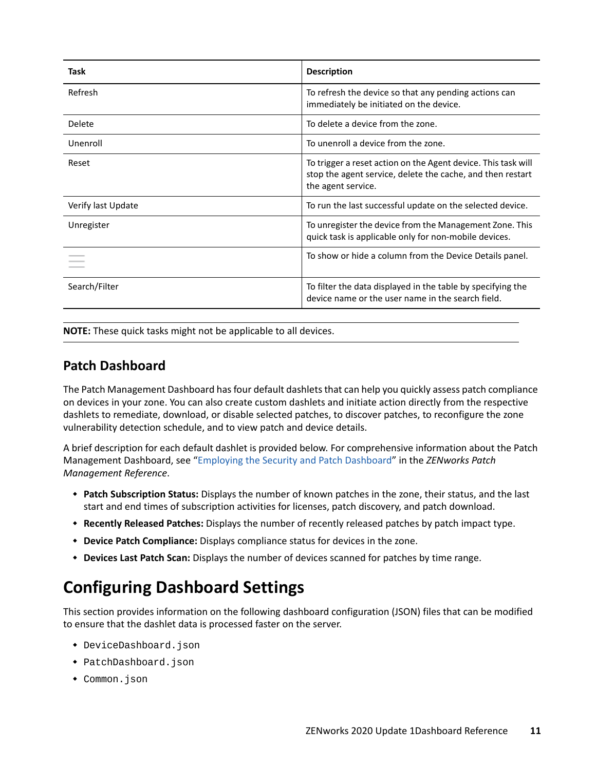| Task               | <b>Description</b>                                                                                                                                |
|--------------------|---------------------------------------------------------------------------------------------------------------------------------------------------|
| Refresh            | To refresh the device so that any pending actions can<br>immediately be initiated on the device.                                                  |
| Delete             | To delete a device from the zone.                                                                                                                 |
| Unenroll           | To unenroll a device from the zone.                                                                                                               |
| Reset              | To trigger a reset action on the Agent device. This task will<br>stop the agent service, delete the cache, and then restart<br>the agent service. |
| Verify last Update | To run the last successful update on the selected device.                                                                                         |
| Unregister         | To unregister the device from the Management Zone. This<br>quick task is applicable only for non-mobile devices.                                  |
|                    | To show or hide a column from the Device Details panel.                                                                                           |
| Search/Filter      | To filter the data displayed in the table by specifying the<br>device name or the user name in the search field.                                  |

**NOTE:** These quick tasks might not be applicable to all devices.

### <span id="page-10-0"></span>**Patch Dashboard**

The Patch Management Dashboard has four default dashlets that can help you quickly assess patch compliance on devices in your zone. You can also create custom dashlets and initiate action directly from the respective dashlets to remediate, download, or disable selected patches, to discover patches, to reconfigure the zone vulnerability detection schedule, and to view patch and device details.

A brief description for each default dashlet is provided below. For comprehensive information about the Patch Management Dashboard, see ["Employing the Security and Patch Dashboard"](https://www.novell.com/documentation/zenworks-2020/pdfdoc/zen_pm_administration/zen_pm_administration.pdf#t46yizmzp6aj) in the *ZENworks Patch Management Reference*.

- **Patch Subscription Status:** Displays the number of known patches in the zone, their status, and the last start and end times of subscription activities for licenses, patch discovery, and patch download.
- **Recently Released Patches:** Displays the number of recently released patches by patch impact type.
- **Device Patch Compliance:** Displays compliance status for devices in the zone.
- **Devices Last Patch Scan:** Displays the number of devices scanned for patches by time range.

# <span id="page-10-1"></span>**Configuring Dashboard Settings**

This section provides information on the following dashboard configuration (JSON) files that can be modified to ensure that the dashlet data is processed faster on the server.

- DeviceDashboard.json
- PatchDashboard.json
- Common.json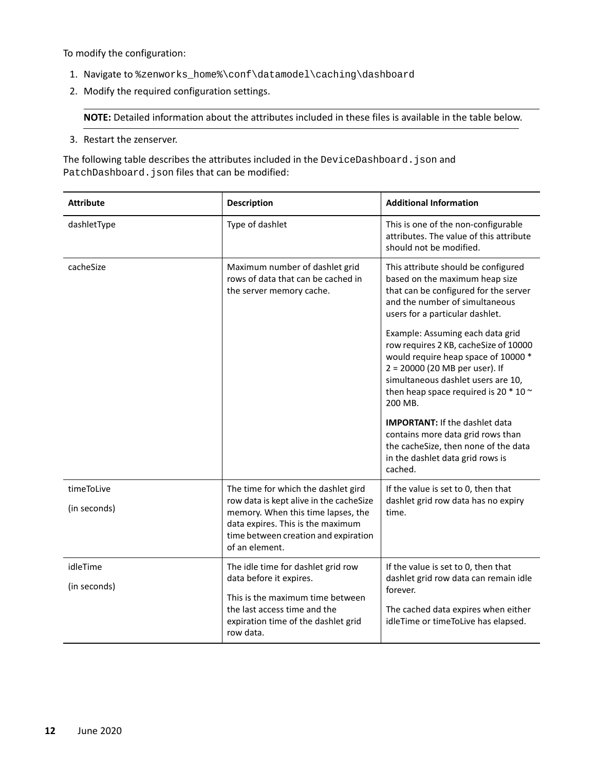To modify the configuration:

- 1. Navigate to %zenworks\_home%\conf\datamodel\caching\dashboard
- 2. Modify the required configuration settings.

**NOTE:** Detailed information about the attributes included in these files is available in the table below.

3. Restart the zenserver.

The following table describes the attributes included in the DeviceDashboard. json and PatchDashboard.json files that can be modified:

| <b>Attribute</b>           | <b>Description</b>                                                                                                                                                                                                  | <b>Additional Information</b>                                                                                                                                                                                                                       |
|----------------------------|---------------------------------------------------------------------------------------------------------------------------------------------------------------------------------------------------------------------|-----------------------------------------------------------------------------------------------------------------------------------------------------------------------------------------------------------------------------------------------------|
| dashletType                | Type of dashlet                                                                                                                                                                                                     | This is one of the non-configurable<br>attributes. The value of this attribute<br>should not be modified.                                                                                                                                           |
| cacheSize                  | Maximum number of dashlet grid<br>rows of data that can be cached in<br>the server memory cache.                                                                                                                    | This attribute should be configured<br>based on the maximum heap size<br>that can be configured for the server<br>and the number of simultaneous<br>users for a particular dashlet.                                                                 |
|                            |                                                                                                                                                                                                                     | Example: Assuming each data grid<br>row requires 2 KB, cacheSize of 10000<br>would require heap space of 10000 *<br>2 = 20000 (20 MB per user). If<br>simultaneous dashlet users are 10,<br>then heap space required is 20 $*$ 10 $\sim$<br>200 MB. |
|                            |                                                                                                                                                                                                                     | <b>IMPORTANT:</b> If the dashlet data<br>contains more data grid rows than<br>the cacheSize, then none of the data<br>in the dashlet data grid rows is<br>cached.                                                                                   |
| timeToLive<br>(in seconds) | The time for which the dashlet gird<br>row data is kept alive in the cacheSize<br>memory. When this time lapses, the<br>data expires. This is the maximum<br>time between creation and expiration<br>of an element. | If the value is set to 0, then that<br>dashlet grid row data has no expiry<br>time.                                                                                                                                                                 |
| idleTime<br>(in seconds)   | The idle time for dashlet grid row<br>data before it expires.<br>This is the maximum time between<br>the last access time and the<br>expiration time of the dashlet grid<br>row data.                               | If the value is set to 0, then that<br>dashlet grid row data can remain idle<br>forever.<br>The cached data expires when either<br>idleTime or timeToLive has elapsed.                                                                              |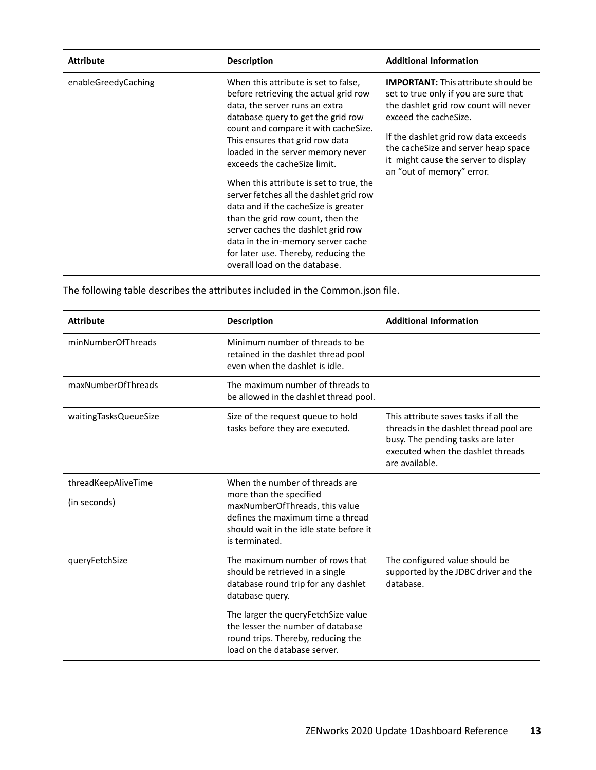| <b>Attribute</b>    | <b>Description</b>                                                                                                                                                                                                                                                                                                                                                                                                                                                                                                                                                                                                             | <b>Additional Information</b>                                                                                                                                                                                                                                                                             |
|---------------------|--------------------------------------------------------------------------------------------------------------------------------------------------------------------------------------------------------------------------------------------------------------------------------------------------------------------------------------------------------------------------------------------------------------------------------------------------------------------------------------------------------------------------------------------------------------------------------------------------------------------------------|-----------------------------------------------------------------------------------------------------------------------------------------------------------------------------------------------------------------------------------------------------------------------------------------------------------|
| enableGreedyCaching | When this attribute is set to false.<br>before retrieving the actual grid row<br>data, the server runs an extra<br>database query to get the grid row<br>count and compare it with cacheSize.<br>This ensures that grid row data<br>loaded in the server memory never<br>exceeds the cacheSize limit.<br>When this attribute is set to true, the<br>server fetches all the dashlet grid row<br>data and if the cache Size is greater<br>than the grid row count, then the<br>server caches the dashlet grid row<br>data in the in-memory server cache<br>for later use. Thereby, reducing the<br>overall load on the database. | <b>IMPORTANT:</b> This attribute should be<br>set to true only if you are sure that<br>the dashlet grid row count will never<br>exceed the cacheSize.<br>If the dashlet grid row data exceeds<br>the cacheSize and server heap space<br>it might cause the server to display<br>an "out of memory" error. |

The following table describes the attributes included in the Common.json file.

| <b>Attribute</b>                    | <b>Description</b>                                                                                                                                                                                                                                                               | <b>Additional Information</b>                                                                                                                                               |
|-------------------------------------|----------------------------------------------------------------------------------------------------------------------------------------------------------------------------------------------------------------------------------------------------------------------------------|-----------------------------------------------------------------------------------------------------------------------------------------------------------------------------|
| minNumberOfThreads                  | Minimum number of threads to be<br>retained in the dashlet thread pool<br>even when the dashlet is idle.                                                                                                                                                                         |                                                                                                                                                                             |
| maxNumberOfThreads                  | The maximum number of threads to<br>be allowed in the dashlet thread pool.                                                                                                                                                                                                       |                                                                                                                                                                             |
| waitingTasksQueueSize               | Size of the request queue to hold<br>tasks before they are executed.                                                                                                                                                                                                             | This attribute saves tasks if all the<br>threads in the dashlet thread pool are<br>busy. The pending tasks are later<br>executed when the dashlet threads<br>are available. |
| threadKeepAliveTime<br>(in seconds) | When the number of threads are<br>more than the specified<br>maxNumberOfThreads, this value<br>defines the maximum time a thread<br>should wait in the idle state before it<br>is terminated.                                                                                    |                                                                                                                                                                             |
| queryFetchSize                      | The maximum number of rows that<br>should be retrieved in a single<br>database round trip for any dashlet<br>database query.<br>The larger the query Fetch Size value<br>the lesser the number of database<br>round trips. Thereby, reducing the<br>load on the database server. | The configured value should be<br>supported by the JDBC driver and the<br>database.                                                                                         |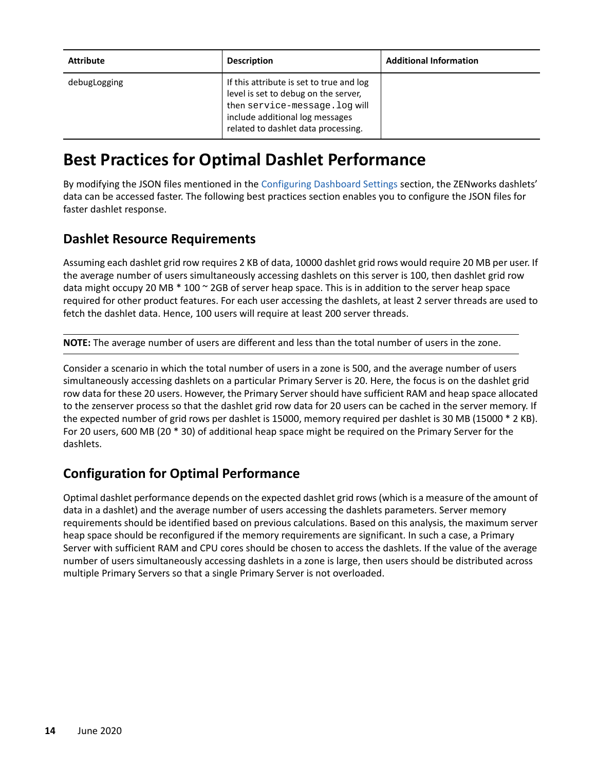| <b>Attribute</b> | <b>Description</b>                                                                                                                                                                           | <b>Additional Information</b> |
|------------------|----------------------------------------------------------------------------------------------------------------------------------------------------------------------------------------------|-------------------------------|
| debugLogging     | If this attribute is set to true and log<br>level is set to debug on the server,<br>then service-message. log will<br>include additional log messages<br>related to dashlet data processing. |                               |

# **Best Practices for Optimal Dashlet Performance**

By modifying the JSON files mentioned in the [Configuring Dashboard Settings](#page-10-1) section, the ZENworks dashlets' data can be accessed faster. The following best practices section enables you to configure the JSON files for faster dashlet response.

### **Dashlet Resource Requirements**

Assuming each dashlet grid row requires 2 KB of data, 10000 dashlet grid rows would require 20 MB per user. If the average number of users simultaneously accessing dashlets on this server is 100, then dashlet grid row data might occupy 20 MB \* 100 ~ 2GB of server heap space. This is in addition to the server heap space required for other product features. For each user accessing the dashlets, at least 2 server threads are used to fetch the dashlet data. Hence, 100 users will require at least 200 server threads.

**NOTE:** The average number of users are different and less than the total number of users in the zone.

Consider a scenario in which the total number of users in a zone is 500, and the average number of users simultaneously accessing dashlets on a particular Primary Server is 20. Here, the focus is on the dashlet grid row data for these 20 users. However, the Primary Server should have sufficient RAM and heap space allocated to the zenserver process so that the dashlet grid row data for 20 users can be cached in the server memory. If the expected number of grid rows per dashlet is 15000, memory required per dashlet is 30 MB (15000 \* 2 KB). For 20 users, 600 MB (20 \* 30) of additional heap space might be required on the Primary Server for the dashlets.

### **Configuration for Optimal Performance**

Optimal dashlet performance depends on the expected dashlet grid rows (which is a measure of the amount of data in a dashlet) and the average number of users accessing the dashlets parameters. Server memory requirements should be identified based on previous calculations. Based on this analysis, the maximum server heap space should be reconfigured if the memory requirements are significant. In such a case, a Primary Server with sufficient RAM and CPU cores should be chosen to access the dashlets. If the value of the average number of users simultaneously accessing dashlets in a zone is large, then users should be distributed across multiple Primary Servers so that a single Primary Server is not overloaded.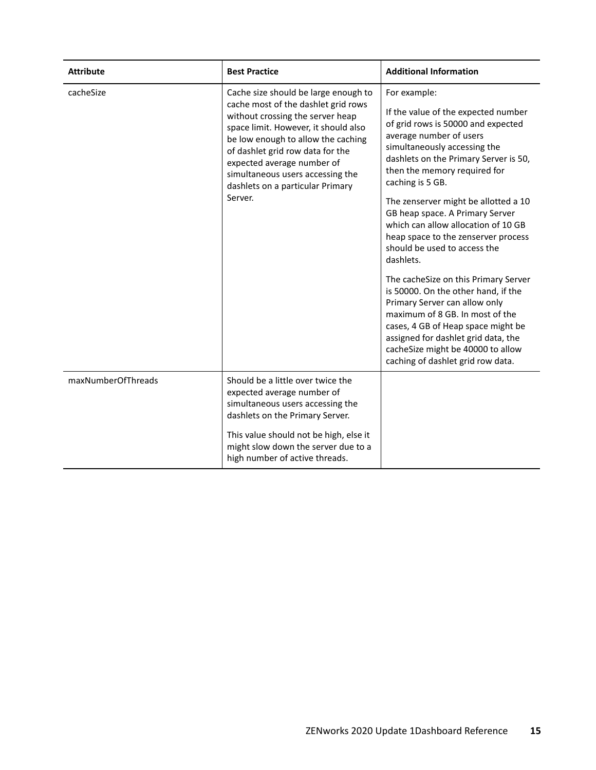| <b>Attribute</b>   | <b>Best Practice</b>                                                                                                                                                                                                                                                                                                                               | <b>Additional Information</b>                                                                                                                                                                                                                                                                                                                                                                                                                                                                                                                                                                                                                                                                                                |
|--------------------|----------------------------------------------------------------------------------------------------------------------------------------------------------------------------------------------------------------------------------------------------------------------------------------------------------------------------------------------------|------------------------------------------------------------------------------------------------------------------------------------------------------------------------------------------------------------------------------------------------------------------------------------------------------------------------------------------------------------------------------------------------------------------------------------------------------------------------------------------------------------------------------------------------------------------------------------------------------------------------------------------------------------------------------------------------------------------------------|
| cacheSize          | Cache size should be large enough to<br>cache most of the dashlet grid rows<br>without crossing the server heap<br>space limit. However, it should also<br>be low enough to allow the caching<br>of dashlet grid row data for the<br>expected average number of<br>simultaneous users accessing the<br>dashlets on a particular Primary<br>Server. | For example:<br>If the value of the expected number<br>of grid rows is 50000 and expected<br>average number of users<br>simultaneously accessing the<br>dashlets on the Primary Server is 50,<br>then the memory required for<br>caching is 5 GB.<br>The zenserver might be allotted a 10<br>GB heap space. A Primary Server<br>which can allow allocation of 10 GB<br>heap space to the zenserver process<br>should be used to access the<br>dashlets.<br>The cacheSize on this Primary Server<br>is 50000. On the other hand, if the<br>Primary Server can allow only<br>maximum of 8 GB. In most of the<br>cases, 4 GB of Heap space might be<br>assigned for dashlet grid data, the<br>cacheSize might be 40000 to allow |
| maxNumberOfThreads | Should be a little over twice the<br>expected average number of<br>simultaneous users accessing the<br>dashlets on the Primary Server.<br>This value should not be high, else it<br>might slow down the server due to a<br>high number of active threads.                                                                                          | caching of dashlet grid row data.                                                                                                                                                                                                                                                                                                                                                                                                                                                                                                                                                                                                                                                                                            |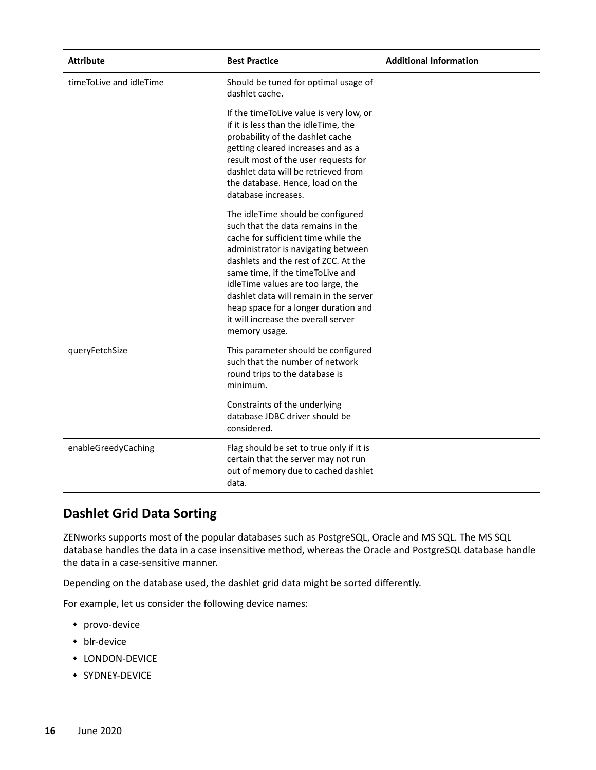| <b>Attribute</b>        | <b>Best Practice</b>                                                                                                                                                                                                                                                                                                                                                                                              | <b>Additional Information</b> |
|-------------------------|-------------------------------------------------------------------------------------------------------------------------------------------------------------------------------------------------------------------------------------------------------------------------------------------------------------------------------------------------------------------------------------------------------------------|-------------------------------|
| timeToLive and idleTime | Should be tuned for optimal usage of<br>dashlet cache.                                                                                                                                                                                                                                                                                                                                                            |                               |
|                         | If the timeToLive value is very low, or<br>if it is less than the idleTime, the<br>probability of the dashlet cache<br>getting cleared increases and as a<br>result most of the user requests for<br>dashlet data will be retrieved from<br>the database. Hence, load on the<br>database increases.                                                                                                               |                               |
|                         | The idleTime should be configured<br>such that the data remains in the<br>cache for sufficient time while the<br>administrator is navigating between<br>dashlets and the rest of ZCC. At the<br>same time, if the time ToLive and<br>idleTime values are too large, the<br>dashlet data will remain in the server<br>heap space for a longer duration and<br>it will increase the overall server<br>memory usage. |                               |
| queryFetchSize          | This parameter should be configured<br>such that the number of network<br>round trips to the database is<br>minimum.                                                                                                                                                                                                                                                                                              |                               |
|                         | Constraints of the underlying<br>database JDBC driver should be<br>considered.                                                                                                                                                                                                                                                                                                                                    |                               |
| enableGreedyCaching     | Flag should be set to true only if it is<br>certain that the server may not run<br>out of memory due to cached dashlet<br>data.                                                                                                                                                                                                                                                                                   |                               |

### **Dashlet Grid Data Sorting**

ZENworks supports most of the popular databases such as PostgreSQL, Oracle and MS SQL. The MS SQL database handles the data in a case insensitive method, whereas the Oracle and PostgreSQL database handle the data in a case-sensitive manner.

Depending on the database used, the dashlet grid data might be sorted differently.

For example, let us consider the following device names:

- provo-device
- blr-device
- LONDON-DEVICE
- **SYDNEY-DEVICE**